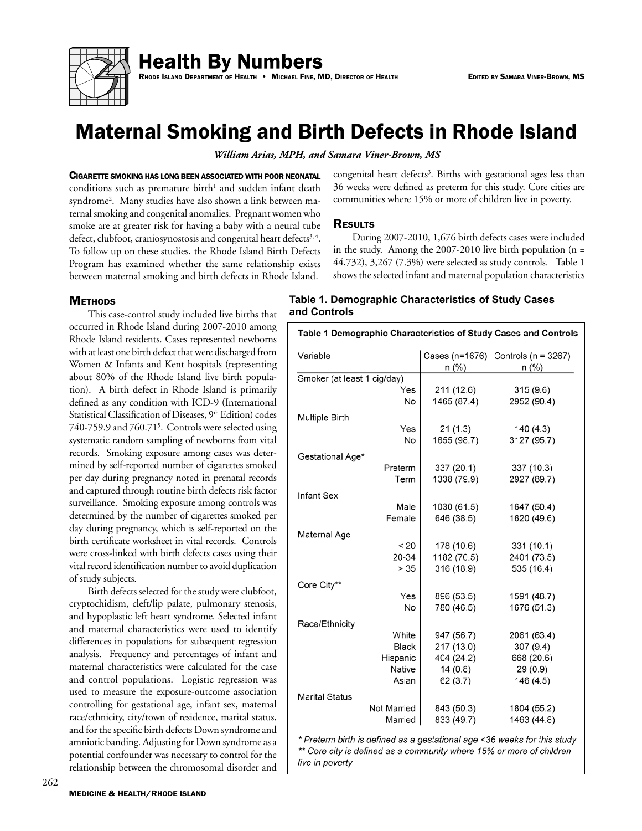

**Health By Numbers** 

Rhode Island Department of Health • Michael Fine, MD, Director of Health **Edited Bulleth Brown, MS** Edited by Samara Viner-Brown, MS

# Maternal Smoking and Birth Defects in Rhode Island

*William Arias, MPH, and Samara Viner-Brown, MS*

Cigarette smoking has long been associated with poor neonatal conditions such as premature birth<sup>1</sup> and sudden infant death syndrome2 . Many studies have also shown a link between maternal smoking and congenital anomalies. Pregnant women who smoke are at greater risk for having a baby with a neural tube defect, clubfoot, craniosynostosis and congenital heart defects<sup>3,4</sup>. To follow up on these studies, the Rhode Island Birth Defects Program has examined whether the same relationship exists between maternal smoking and birth defects in Rhode Island.

congenital heart defects<sup>3</sup>. Births with gestational ages less than 36 weeks were defined as preterm for this study. Core cities are communities where 15% or more of children live in poverty.

### **RESULTS**

During 2007-2010, 1,676 birth defects cases were included in the study. Among the 2007-2010 live birth population  $(n =$ 44,732), 3,267 (7.3%) were selected as study controls. Table 1 shows the selected infant and maternal population characteristics

### **METHODS**

This case-control study included live births that occurred in Rhode Island during 2007-2010 among Rhode Island residents. Cases represented newborns with at least one birth defect that were discharged from Women & Infants and Kent hospitals (representing about 80% of the Rhode Island live birth population). A birth defect in Rhode Island is primarily defined as any condition with ICD-9 (International Statistical Classification of Diseases, 9<sup>th</sup> Edition) codes 740-759.9 and 760.715 . Controls were selected using systematic random sampling of newborns from vital records. Smoking exposure among cases was determined by self-reported number of cigarettes smoked per day during pregnancy noted in prenatal records and captured through routine birth defects risk factor surveillance. Smoking exposure among controls was determined by the number of cigarettes smoked per day during pregnancy, which is self-reported on the birth certificate worksheet in vital records. Controls were cross-linked with birth defects cases using their vital record identification number to avoid duplication of study subjects.

Birth defects selected for the study were clubfoot, cryptochidism, cleft/lip palate, pulmonary stenosis, and hypoplastic left heart syndrome. Selected infant and maternal characteristics were used to identify differences in populations for subsequent regression analysis. Frequency and percentages of infant and maternal characteristics were calculated for the case and control populations. Logistic regression was used to measure the exposure-outcome association controlling for gestational age, infant sex, maternal race/ethnicity, city/town of residence, marital status, and for the specific birth defects Down syndrome and amniotic banding. Adjusting for Down syndrome as a potential confounder was necessary to control for the relationship between the chromosomal disorder and

## **Table 1. Demographic Characteristics of Study Cases and Controls**

| Table 1 Demographic Characteristics of Study Cases and Controls |                          |                                    |  |  |
|-----------------------------------------------------------------|--------------------------|------------------------------------|--|--|
| Variable                                                        |                          | Cases (n=1676) Controls (n = 3267) |  |  |
|                                                                 | n (%)                    | n (%)                              |  |  |
| Smoker (at least 1 cig/day)                                     |                          |                                    |  |  |
| Yes                                                             | 211 (12.6)               | 315(9.6)                           |  |  |
| No                                                              | 1465 (87.4)              | 2952 (90.4)                        |  |  |
| <b>Multiple Birth</b>                                           |                          |                                    |  |  |
| Yes                                                             | 21(1.3)                  | 140 (4.3)                          |  |  |
| No                                                              | 1655 (98.7)              | 3127 (95.7)                        |  |  |
|                                                                 |                          |                                    |  |  |
| Gestational Age*                                                |                          |                                    |  |  |
| Preterm                                                         | 337 (20.1)               | 337 (10.3)                         |  |  |
| Term                                                            | 1338 (79.9)              | 2927 (89.7)                        |  |  |
| <b>Infant Sex</b>                                               |                          |                                    |  |  |
| Male                                                            | 1030 (61.5)              | 1647 (50.4)                        |  |  |
| Female                                                          | 646 (38.5)               | 1620 (49.6)                        |  |  |
| Maternal Age                                                    |                          |                                    |  |  |
| < 20                                                            | 178 (10.6)               | 331 (10.1)                         |  |  |
| 20-34                                                           | 1182 (70.5)              | 2401 (73.5)                        |  |  |
| > 35                                                            | 316 (18.9)               | 535 (16.4)                         |  |  |
|                                                                 |                          |                                    |  |  |
| Core City**<br>Yes                                              |                          |                                    |  |  |
| No                                                              | 896 (53.5)<br>780 (46.5) | 1591 (48.7)<br>1676 (51.3)         |  |  |
|                                                                 |                          |                                    |  |  |
| Race/Ethnicity                                                  |                          |                                    |  |  |
| White                                                           | 947 (56.7)               | 2061 (63.4)                        |  |  |
| <b>Black</b>                                                    | 217 (13.0)               | 307 (9.4)                          |  |  |
| Hispanic                                                        | 404 (24.2)               | 668 (20.6)                         |  |  |
| Native                                                          | 14(0.8)                  | 29 (0.9)                           |  |  |
| Asian                                                           | 62(3.7)                  | 146 (4.5)                          |  |  |
| <b>Marital Status</b>                                           |                          |                                    |  |  |
| Not Married                                                     | 843 (50.3)               | 1804 (55.2)                        |  |  |
| Married                                                         | 833 (49.7)               | 1463 (44.8)                        |  |  |
|                                                                 |                          |                                    |  |  |

\* Preterm birth is defined as a gestational age <36 weeks for this study \*\* Core city is defined as a community where 15% or more of children live in poverty